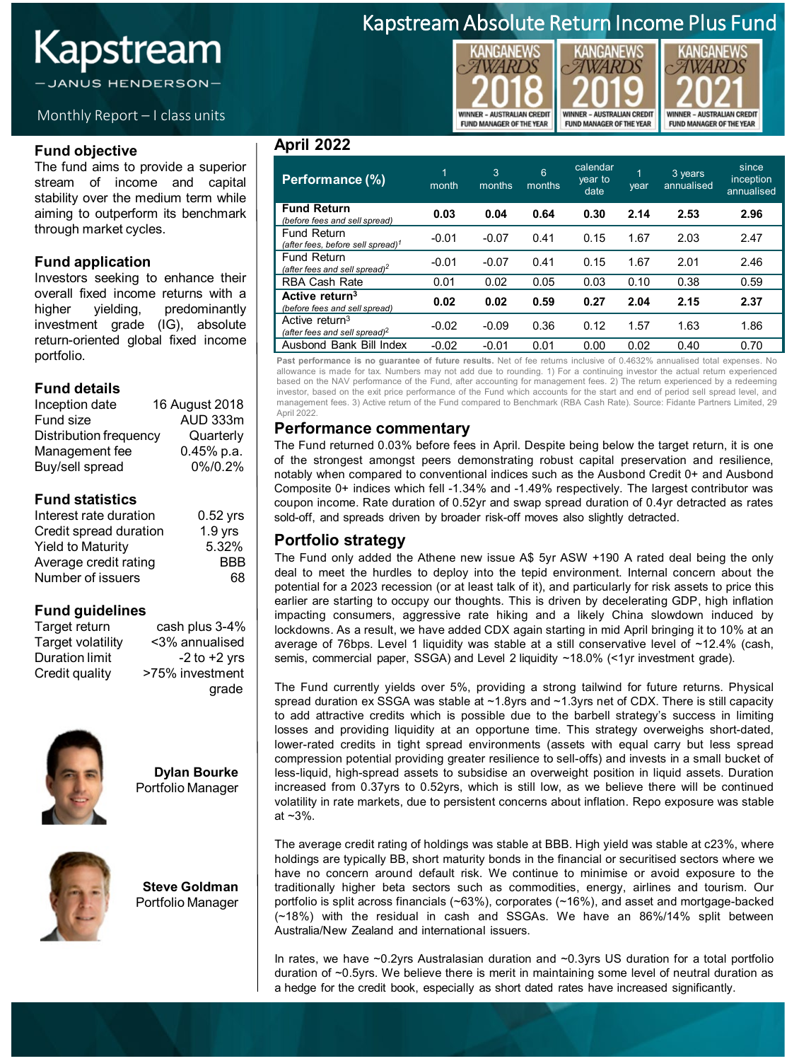# Kapstream

JANUS HENDERSON-

### Monthly Report – I class units

#### **Fund objective**

The fund aims to provide a superior stream of income and capital stability over the medium term while aiming to outperform its benchmark through market cycles.

### **Fund application**

Investors seeking to enhance their overall fixed income returns with a<br>higher yielding, predominantly higher yielding, predominantly investment grade (IG), absolute return-oriented global fixed income portfolio.

### **Fund details**

| Inception date                | 16 August 2018 |
|-------------------------------|----------------|
| Fund size                     | AUD 333m       |
| <b>Distribution frequency</b> | Quarterly      |
| Management fee                | $0.45%$ p.a.   |
| Buy/sell spread               | 0%/0.2%        |

### **Fund statistics**

| Interest rate duration   | $0.52$ yrs |
|--------------------------|------------|
| Credit spread duration   | $1.9$ yrs  |
| <b>Yield to Maturity</b> | 5.32%      |
| Average credit rating    | <b>BBB</b> |
| Number of issuers        | 68.        |

### **Fund guidelines**

cash plus 3-4% Target volatility <3% annualised Duration limit -2 to +2 yrs<br>Credit quality - >75% investment >75% investment grade



**Dylan Bourke** Portfolio Manager



**Steve Goldman** Portfolio Manager

### Kapstream Absolute Return Income Plus Fund





**KANGANEWS** 

#### **April 2022**

| Performance (%)                                                         | 1<br>month | 3<br>months | 6<br>months | calendar<br>year to<br>date | 1<br>year | 3 years<br>annualised | since<br>inception<br>annualised |
|-------------------------------------------------------------------------|------------|-------------|-------------|-----------------------------|-----------|-----------------------|----------------------------------|
| <b>Fund Return</b><br>(before fees and sell spread)                     | 0.03       | 0.04        | 0.64        | 0.30                        | 2.14      | 2.53                  | 2.96                             |
| <b>Fund Return</b><br>(after fees, before sell spread) <sup>1</sup>     | $-0.01$    | $-0.07$     | 0.41        | 0.15                        | 1.67      | 2.03                  | 2.47                             |
| Fund Return<br>(after fees and sell spread) <sup>2</sup>                | $-0.01$    | $-0.07$     | 0.41        | 0.15                        | 1.67      | 2.01                  | 2.46                             |
| <b>RBA Cash Rate</b>                                                    | 0.01       | 0.02        | 0.05        | 0.03                        | 0.10      | 0.38                  | 0.59                             |
| Active return <sup>3</sup><br>(before fees and sell spread)             | 0.02       | 0.02        | 0.59        | 0.27                        | 2.04      | 2.15                  | 2.37                             |
| Active return <sup>3</sup><br>(after fees and sell spread) <sup>2</sup> | $-0.02$    | $-0.09$     | 0.36        | 0.12                        | 1.57      | 1.63                  | 1.86                             |
| Ausbond Bank Bill Index                                                 | $-0.02$    | $-0.01$     | 0.01        | 0.00                        | 0.02      | 0.40                  | 0.70                             |

**Past performance is no guarantee of future results.** Net of fee returns inclusive of 0.4632% annualised total expenses. No allowance is made for tax. Numbers may not add due to rounding. 1) For a continuing investor the actual return experienced based on the NAV performance of the Fund, after accounting for management fees. 2) The return experienced by a redeeming investor, based on the exit price performance of the Fund which accounts for the start and end of period sell spread level, and management fees. 3) Active return of the Fund compared to Benchmark (RBA Cash Rate). Source: Fidante Partners Limited, 29 April 2022.

### **Performance commentary**

The Fund returned 0.03% before fees in April. Despite being below the target return, it is one of the strongest amongst peers demonstrating robust capital preservation and resilience, notably when compared to conventional indices such as the Ausbond Credit 0+ and Ausbond Composite 0+ indices which fell -1.34% and -1.49% respectively. The largest contributor was coupon income. Rate duration of 0.52yr and swap spread duration of 0.4yr detracted as rates sold-off, and spreads driven by broader risk-off moves also slightly detracted.

### **Portfolio strategy**

The Fund only added the Athene new issue A\$ 5yr ASW +190 A rated deal being the only deal to meet the hurdles to deploy into the tepid environment. Internal concern about the potential for a 2023 recession (or at least talk of it), and particularly for risk assets to price this earlier are starting to occupy our thoughts. This is driven by decelerating GDP, high inflation impacting consumers, aggressive rate hiking and a likely China slowdown induced by lockdowns. As a result, we have added CDX again starting in mid April bringing it to 10% at an average of 76bps. Level 1 liquidity was stable at a still conservative level of ~12.4% (cash, semis, commercial paper, SSGA) and Level 2 liquidity ~18.0% (<1yr investment grade).

The Fund currently yields over 5%, providing a strong tailwind for future returns. Physical spread duration ex SSGA was stable at ~1.8yrs and ~1.3yrs net of CDX. There is still capacity to add attractive credits which is possible due to the barbell strategy's success in limiting losses and providing liquidity at an opportune time. This strategy overweighs short-dated, lower-rated credits in tight spread environments (assets with equal carry but less spread compression potential providing greater resilience to sell-offs) and invests in a small bucket of less-liquid, high-spread assets to subsidise an overweight position in liquid assets. Duration increased from 0.37yrs to 0.52yrs, which is still low, as we believe there will be continued volatility in rate markets, due to persistent concerns about inflation. Repo exposure was stable at ~3%.

The average credit rating of holdings was stable at BBB. High yield was stable at c23%, where holdings are typically BB, short maturity bonds in the financial or securitised sectors where we have no concern around default risk. We continue to minimise or avoid exposure to the traditionally higher beta sectors such as commodities, energy, airlines and tourism. Our portfolio is split across financials (~63%), corporates (~16%), and asset and mortgage-backed (~18%) with the residual in cash and SSGAs. We have an 86%/14% split between Australia/New Zealand and international issuers.

In rates, we have ~0.2yrs Australasian duration and ~0.3yrs US duration for a total portfolio duration of ~0.5yrs. We believe there is merit in maintaining some level of neutral duration as a hedge for the credit book, especially as short dated rates have increased significantly.